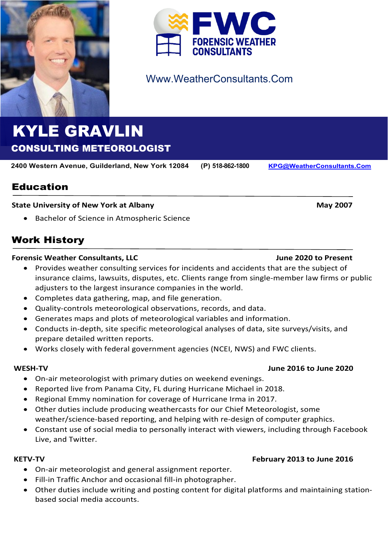



# Www.WeatherConsultants.Com

# KYLE GRAVLIN CONSULTING METEOROLOGIST

**2400 Western Avenue, Guilderland, New York 12084 (P) 518-862-1800 [KPG@WeatherConsultants.Com](mailto:KPG@WeatherConsultants.Com)**

Education

### **State University of New York at Albany May 2007 <b>May 2007 May 2007**

• Bachelor of Science in Atmospheric Science

# Work History

### **Forensic Weather Consultants, LLC June 2020 to Present**

- Provides weather consulting services for incidents and accidents that are the subject of insurance claims, lawsuits, disputes, etc. Clients range from single-member law firms or public adjusters to the largest insurance companies in the world.
- Completes data gathering, map, and file generation.
- Quality-controls meteorological observations, records, and data.
- Generates maps and plots of meteorological variables and information.
- Conducts in-depth, site specific meteorological analyses of data, site surveys/visits, and prepare detailed written reports.
- Works closely with federal government agencies (NCEI, NWS) and FWC clients.

### **WESH-TV June 2016 to June 2020**

- On-air meteorologist with primary duties on weekend evenings.
- Reported live from Panama City, FL during Hurricane Michael in 2018.
- Regional Emmy nomination for coverage of Hurricane Irma in 2017.
- Other duties include producing weathercasts for our Chief Meteorologist, some weather/science-based reporting, and helping with re-design of computer graphics.
- Constant use of social media to personally interact with viewers, including through Facebook Live, and Twitter.

- On-air meteorologist and general assignment reporter.
- Fill-in Traffic Anchor and occasional fill-in photographer.
- Other duties include writing and posting content for digital platforms and maintaining stationbased social media accounts.

## **KETV-TV February 2013 to June 2016**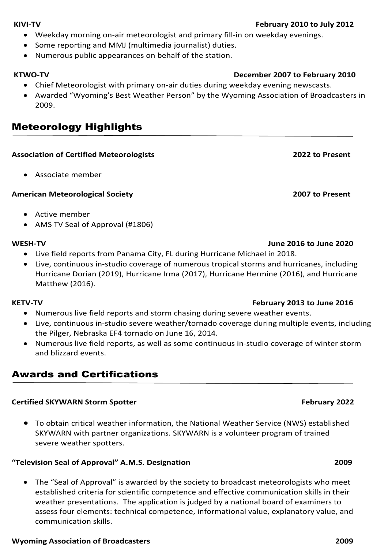### **KIVI-TV February 2010 to July 2012**

- Weekday morning on-air meteorologist and primary fill-in on weekday evenings.
- Some reporting and MMJ (multimedia journalist) duties.
- Numerous public appearances on behalf of the station.

- Chief Meteorologist with primary on-air duties during weekday evening newscasts.
- Awarded "Wyoming's Best Weather Person" by the Wyoming Association of Broadcasters in 2009.

# Meteorology Highlights

### **Association of Certified Meteorologists 2022 to Present**

• Associate member

### **American Meteorological Society 2007 to Present**

- Active member
- AMS TV Seal of Approval (#1806)

### **WESH-TV June 2016 to June 2020**

- Live field reports from Panama City, FL during Hurricane Michael in 2018.
- Live, continuous in-studio coverage of numerous tropical storms and hurricanes, including Hurricane Dorian (2019), Hurricane Irma (2017), Hurricane Hermine (2016), and Hurricane Matthew (2016).

- Numerous live field reports and storm chasing during severe weather events.
- Live, continuous in-studio severe weather/tornado coverage during multiple events, including the Pilger, Nebraska EF4 tornado on June 16, 2014.
- Numerous live field reports, as well as some continuous in-studio coverage of winter storm and blizzard events.

# Awards and Certifications

### **Certified SKYWARN Storm Spotter February 2022**

• To obtain critical weather information, the National Weather Service (NWS) established SKYWARN with partner organizations. SKYWARN is a volunteer program of trained severe weather spotters.

### **"Television Seal of Approval" A.M.S. Designation 2009**

• The "Seal of Approval" is awarded by the society to broadcast meteorologists who meet established criteria for scientific competence and effective communication skills in their weather presentations. The application is judged by a national board of examiners to assess four elements: technical competence, informational value, explanatory value, and communication skills.

### **Wyoming Association of Broadcasters 2009**

# **KTWO-TV December 2007 to February 2010**

### **KETV-TV February 2013 to June 2016**